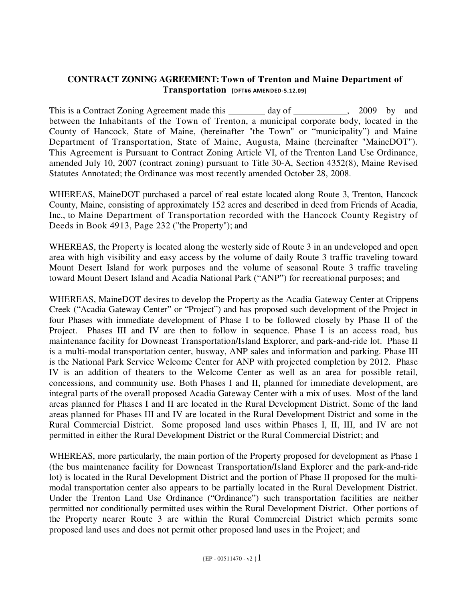# **CONTRACT ZONING AGREEMENT: Town of Trenton and Maine Department of Transportation** [DFT#6 AMENDED-5.12.09]

This is a Contract Zoning Agreement made this \_\_\_\_\_\_\_\_ day of \_\_\_\_\_\_\_\_\_\_\_, 2009 by and between the Inhabitants of the Town of Trenton, a municipal corporate body, located in the County of Hancock, State of Maine, (hereinafter "the Town" or "municipality") and Maine Department of Transportation, State of Maine, Augusta, Maine (hereinafter "MaineDOT"). This Agreement is Pursuant to Contract Zoning Article VI, of the Trenton Land Use Ordinance, amended July 10, 2007 (contract zoning) pursuant to Title 30-A, Section 4352(8), Maine Revised Statutes Annotated; the Ordinance was most recently amended October 28, 2008.

WHEREAS, MaineDOT purchased a parcel of real estate located along Route 3, Trenton, Hancock County, Maine, consisting of approximately 152 acres and described in deed from Friends of Acadia, Inc., to Maine Department of Transportation recorded with the Hancock County Registry of Deeds in Book 4913, Page 232 ("the Property"); and

WHEREAS, the Property is located along the westerly side of Route 3 in an undeveloped and open area with high visibility and easy access by the volume of daily Route 3 traffic traveling toward Mount Desert Island for work purposes and the volume of seasonal Route 3 traffic traveling toward Mount Desert Island and Acadia National Park ("ANP") for recreational purposes; and

WHEREAS, MaineDOT desires to develop the Property as the Acadia Gateway Center at Crippens Creek ("Acadia Gateway Center" or "Project") and has proposed such development of the Project in four Phases with immediate development of Phase I to be followed closely by Phase II of the Project. Phases III and IV are then to follow in sequence. Phase I is an access road, bus maintenance facility for Downeast Transportation/Island Explorer, and park-and-ride lot. Phase II is a multi-modal transportation center, busway, ANP sales and information and parking. Phase III is the National Park Service Welcome Center for ANP with projected completion by 2012. Phase IV is an addition of theaters to the Welcome Center as well as an area for possible retail, concessions, and community use. Both Phases I and II, planned for immediate development, are integral parts of the overall proposed Acadia Gateway Center with a mix of uses. Most of the land areas planned for Phases I and II are located in the Rural Development District. Some of the land areas planned for Phases III and IV are located in the Rural Development District and some in the Rural Commercial District. Some proposed land uses within Phases I, II, III, and IV are not permitted in either the Rural Development District or the Rural Commercial District; and

WHEREAS, more particularly, the main portion of the Property proposed for development as Phase I (the bus maintenance facility for Downeast Transportation/Island Explorer and the park-and-ride lot) is located in the Rural Development District and the portion of Phase II proposed for the multimodal transportation center also appears to be partially located in the Rural Development District. Under the Trenton Land Use Ordinance ("Ordinance") such transportation facilities are neither permitted nor conditionally permitted uses within the Rural Development District. Other portions of the Property nearer Route 3 are within the Rural Commercial District which permits some proposed land uses and does not permit other proposed land uses in the Project; and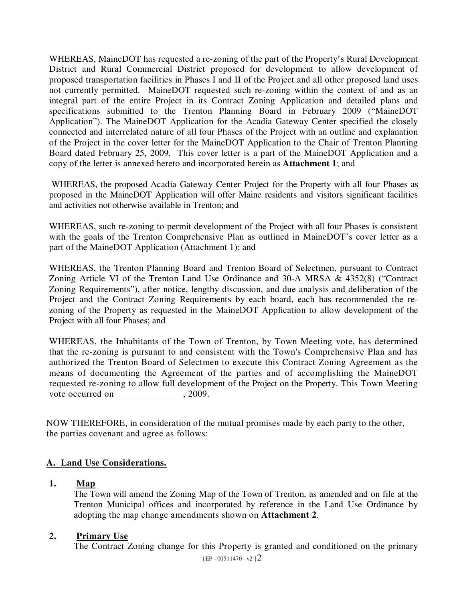WHEREAS, MaineDOT has requested a re-zoning of the part of the Property's Rural Development District and Rural Commercial District proposed for development to allow development of proposed transportation facilities in Phases I and II of the Project and all other proposed land uses not currently permitted. MaineDOT requested such re-zoning within the context of and as an integral part of the entire Project in its Contract Zoning Application and detailed plans and specifications submitted to the Trenton Planning Board in February 2009 ("MaineDOT Application"). The MaineDOT Application for the Acadia Gateway Center specified the closely connected and interrelated nature of all four Phases of the Project with an outline and explanation of the Project in the cover letter for the MaineDOT Application to the Chair of Trenton Planning Board dated February 25, 2009. This cover letter is a part of the MaineDOT Application and a copy of the letter is annexed hereto and incorporated herein as **Attachment 1**; and

 WHEREAS, the proposed Acadia Gateway Center Project for the Property with all four Phases as proposed in the MaineDOT Application will offer Maine residents and visitors significant facilities and activities not otherwise available in Trenton; and

WHEREAS, such re-zoning to permit development of the Project with all four Phases is consistent with the goals of the Trenton Comprehensive Plan as outlined in MaineDOT's cover letter as a part of the MaineDOT Application (Attachment 1); and

WHEREAS, the Trenton Planning Board and Trenton Board of Selectmen, pursuant to Contract Zoning Article VI of the Trenton Land Use Ordinance and 30-A MRSA & 4352(8) ("Contract Zoning Requirements"), after notice, lengthy discussion, and due analysis and deliberation of the Project and the Contract Zoning Requirements by each board, each has recommended the rezoning of the Property as requested in the MaineDOT Application to allow development of the Project with all four Phases; and

WHEREAS, the Inhabitants of the Town of Trenton, by Town Meeting vote, has determined that the re-zoning is pursuant to and consistent with the Town's Comprehensive Plan and has authorized the Trenton Board of Selectmen to execute this Contract Zoning Agreement as the means of documenting the Agreement of the parties and of accomplishing the MaineDOT requested re-zoning to allow full development of the Project on the Property. This Town Meeting vote occurred on , 2009.

NOW THEREFORE, in consideration of the mutual promises made by each party to the other, the parties covenant and agree as follows:

# **A. Land Use Considerations.**

### **1. Map**

The Town will amend the Zoning Map of the Town of Trenton, as amended and on file at the Trenton Municipal offices and incorporated by reference in the Land Use Ordinance by adopting the map change amendments shown on **Attachment 2**.

### **2. Primary Use**

The Contract Zoning change for this Property is granted and conditioned on the primary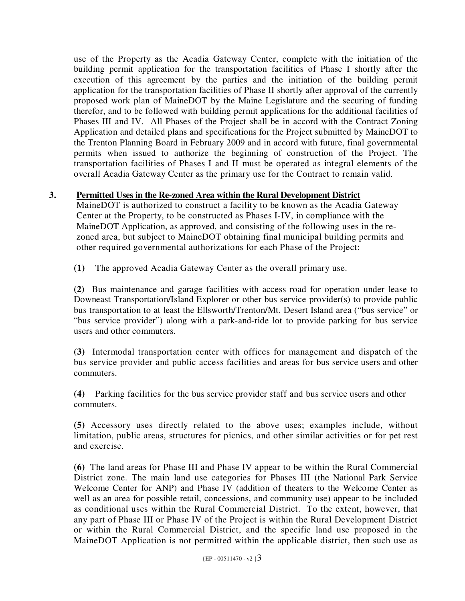use of the Property as the Acadia Gateway Center, complete with the initiation of the building permit application for the transportation facilities of Phase I shortly after the execution of this agreement by the parties and the initiation of the building permit application for the transportation facilities of Phase II shortly after approval of the currently proposed work plan of MaineDOT by the Maine Legislature and the securing of funding therefor, and to be followed with building permit applications for the additional facilities of Phases III and IV. All Phases of the Project shall be in accord with the Contract Zoning Application and detailed plans and specifications for the Project submitted by MaineDOT to the Trenton Planning Board in February 2009 and in accord with future, final governmental permits when issued to authorize the beginning of construction of the Project. The transportation facilities of Phases I and II must be operated as integral elements of the overall Acadia Gateway Center as the primary use for the Contract to remain valid.

# **3. Permitted Uses in the Re-zoned Area within the Rural Development District**

MaineDOT is authorized to construct a facility to be known as the Acadia Gateway Center at the Property, to be constructed as Phases I-IV, in compliance with the MaineDOT Application, as approved, and consisting of the following uses in the rezoned area, but subject to MaineDOT obtaining final municipal building permits and other required governmental authorizations for each Phase of the Project:

**(1)** The approved Acadia Gateway Center as the overall primary use.

**(2)** Bus maintenance and garage facilities with access road for operation under lease to Downeast Transportation/Island Explorer or other bus service provider(s) to provide public bus transportation to at least the Ellsworth/Trenton/Mt. Desert Island area ("bus service" or "bus service provider") along with a park-and-ride lot to provide parking for bus service users and other commuters.

**(3)** Intermodal transportation center with offices for management and dispatch of the bus service provider and public access facilities and areas for bus service users and other commuters.

**(4)** Parking facilities for the bus service provider staff and bus service users and other commuters.

**(5)** Accessory uses directly related to the above uses; examples include, without limitation, public areas, structures for picnics, and other similar activities or for pet rest and exercise.

**(6)** The land areas for Phase III and Phase IV appear to be within the Rural Commercial District zone. The main land use categories for Phases III (the National Park Service Welcome Center for ANP) and Phase IV (addition of theaters to the Welcome Center as well as an area for possible retail, concessions, and community use) appear to be included as conditional uses within the Rural Commercial District. To the extent, however, that any part of Phase III or Phase IV of the Project is within the Rural Development District or within the Rural Commercial District, and the specific land use proposed in the MaineDOT Application is not permitted within the applicable district, then such use as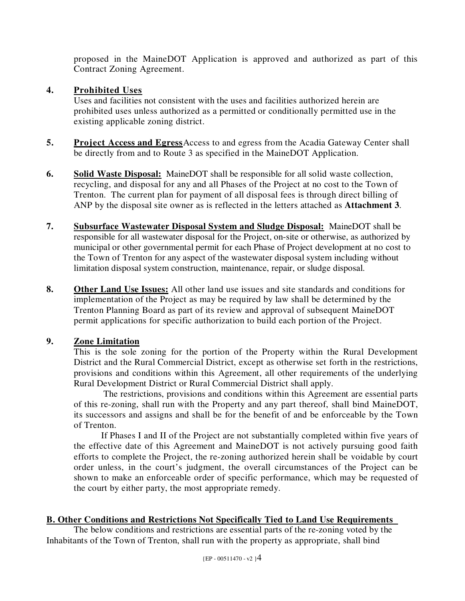proposed in the MaineDOT Application is approved and authorized as part of this Contract Zoning Agreement.

## **4. Prohibited Uses**

Uses and facilities not consistent with the uses and facilities authorized herein are prohibited uses unless authorized as a permitted or conditionally permitted use in the existing applicable zoning district.

- **5. Project Access and Egress** Access to and egress from the Acadia Gateway Center shall be directly from and to Route 3 as specified in the MaineDOT Application.
- **6. Solid Waste Disposal:** MaineDOT shall be responsible for all solid waste collection, recycling, and disposal for any and all Phases of the Project at no cost to the Town of Trenton. The current plan for payment of all disposal fees is through direct billing of ANP by the disposal site owner as is reflected in the letters attached as **Attachment 3**.
- **7. Subsurface Wastewater Disposal System and Sludge Disposal:** MaineDOT shall be responsible for all wastewater disposal for the Project, on-site or otherwise, as authorized by municipal or other governmental permit for each Phase of Project development at no cost to the Town of Trenton for any aspect of the wastewater disposal system including without limitation disposal system construction, maintenance, repair, or sludge disposal.
- **8. Other Land Use Issues:** All other land use issues and site standards and conditions for implementation of the Project as may be required by law shall be determined by the Trenton Planning Board as part of its review and approval of subsequent MaineDOT permit applications for specific authorization to build each portion of the Project.

# **9. Zone Limitation**

This is the sole zoning for the portion of the Property within the Rural Development District and the Rural Commercial District, except as otherwise set forth in the restrictions, provisions and conditions within this Agreement, all other requirements of the underlying Rural Development District or Rural Commercial District shall apply.

 The restrictions, provisions and conditions within this Agreement are essential parts of this re-zoning, shall run with the Property and any part thereof, shall bind MaineDOT, its successors and assigns and shall be for the benefit of and be enforceable by the Town of Trenton.

 If Phases I and II of the Project are not substantially completed within five years of the effective date of this Agreement and MaineDOT is not actively pursuing good faith efforts to complete the Project, the re-zoning authorized herein shall be voidable by court order unless, in the court's judgment, the overall circumstances of the Project can be shown to make an enforceable order of specific performance, which may be requested of the court by either party, the most appropriate remedy.

# **B. Other Conditions and Restrictions Not Specifically Tied to Land Use Requirements**

The below conditions and restrictions are essential parts of the re-zoning voted by the Inhabitants of the Town of Trenton, shall run with the property as appropriate, shall bind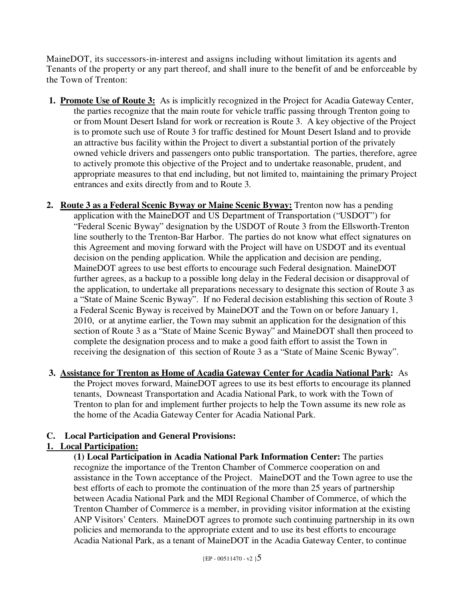MaineDOT, its successors-in-interest and assigns including without limitation its agents and Tenants of the property or any part thereof, and shall inure to the benefit of and be enforceable by the Town of Trenton:

- **1. Promote Use of Route 3:** As is implicitly recognized in the Project for Acadia Gateway Center, the parties recognize that the main route for vehicle traffic passing through Trenton going to or from Mount Desert Island for work or recreation is Route 3. A key objective of the Project is to promote such use of Route 3 for traffic destined for Mount Desert Island and to provide an attractive bus facility within the Project to divert a substantial portion of the privately owned vehicle drivers and passengers onto public transportation. The parties, therefore, agree to actively promote this objective of the Project and to undertake reasonable, prudent, and appropriate measures to that end including, but not limited to, maintaining the primary Project entrances and exits directly from and to Route 3.
- **2. Route 3 as a Federal Scenic Byway or Maine Scenic Byway:** Trenton now has a pending application with the MaineDOT and US Department of Transportation ("USDOT") for "Federal Scenic Byway" designation by the USDOT of Route 3 from the Ellsworth-Trenton line southerly to the Trenton-Bar Harbor. The parties do not know what effect signatures on this Agreement and moving forward with the Project will have on USDOT and its eventual decision on the pending application. While the application and decision are pending, MaineDOT agrees to use best efforts to encourage such Federal designation. MaineDOT further agrees, as a backup to a possible long delay in the Federal decision or disapproval of the application, to undertake all preparations necessary to designate this section of Route 3 as a "State of Maine Scenic Byway". If no Federal decision establishing this section of Route 3 a Federal Scenic Byway is received by MaineDOT and the Town on or before January 1, 2010, or at anytime earlier, the Town may submit an application for the designation of this section of Route 3 as a "State of Maine Scenic Byway" and MaineDOT shall then proceed to complete the designation process and to make a good faith effort to assist the Town in receiving the designation of this section of Route 3 as a "State of Maine Scenic Byway".
- **3. Assistance for Trenton as Home of Acadia Gateway Center for Acadia National Park:** As the Project moves forward, MaineDOT agrees to use its best efforts to encourage its planned tenants, Downeast Transportation and Acadia National Park, to work with the Town of Trenton to plan for and implement further projects to help the Town assume its new role as the home of the Acadia Gateway Center for Acadia National Park.

# **C. Local Participation and General Provisions:**

# **1. Local Participation:**

**(1) Local Participation in Acadia National Park Information Center:** The parties recognize the importance of the Trenton Chamber of Commerce cooperation on and assistance in the Town acceptance of the Project. MaineDOT and the Town agree to use the best efforts of each to promote the continuation of the more than 25 years of partnership between Acadia National Park and the MDI Regional Chamber of Commerce, of which the Trenton Chamber of Commerce is a member, in providing visitor information at the existing ANP Visitors' Centers. MaineDOT agrees to promote such continuing partnership in its own policies and memoranda to the appropriate extent and to use its best efforts to encourage Acadia National Park, as a tenant of MaineDOT in the Acadia Gateway Center, to continue